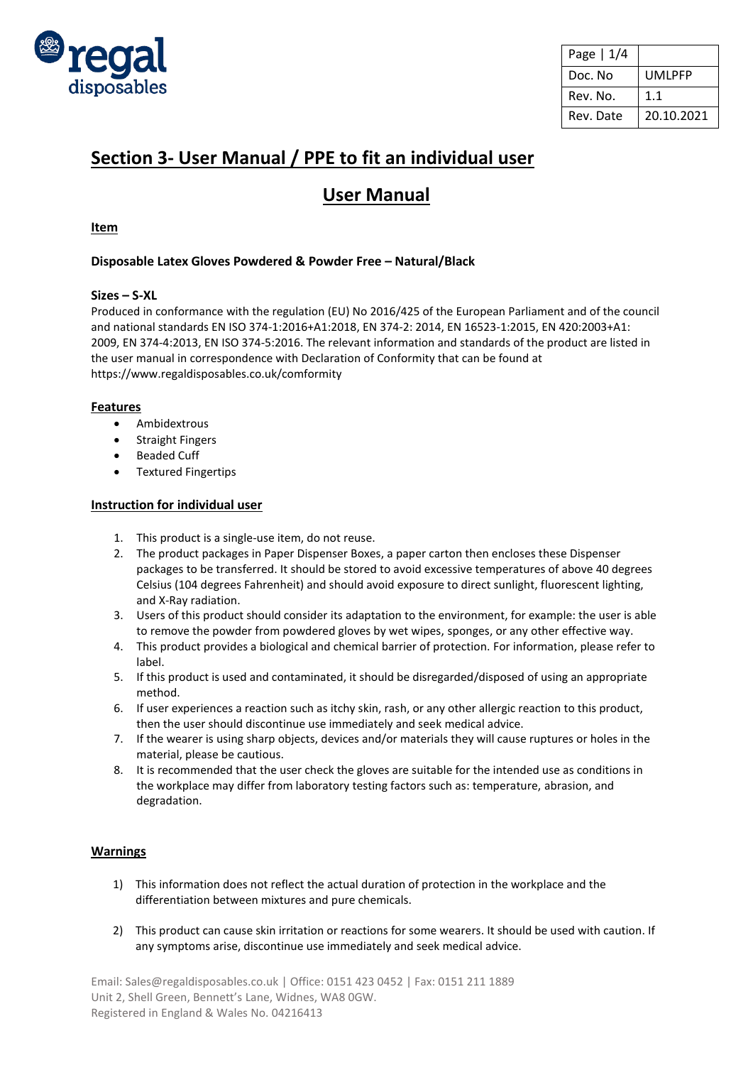

| Page   1/4 |            |
|------------|------------|
| Doc. No    | UMLPFP     |
| Rev. No.   | 1.1        |
| Rev. Date  | 20.10.2021 |

# **Section 3- User Manual / PPE to fit an individual user**

## **User Manual**

## **Item**

## **Disposable Latex Gloves Powdered & Powder Free – Natural/Black**

## **Sizes – S-XL**

Produced in conformance with the regulation (EU) No 2016/425 of the European Parliament and of the council and national standards EN ISO 374-1:2016+A1:2018, EN 374-2: 2014, EN 16523-1:2015, EN 420:2003+A1: 2009, EN 374-4:2013, EN ISO 374-5:2016. The relevant information and standards of the product are listed in the user manual in correspondence with Declaration of Conformity that can be found at https://www.regaldisposables.co.uk/comformity

## **Features**

- Ambidextrous
- Straight Fingers
- Beaded Cuff
- Textured Fingertips

### **Instruction for individual user**

- 1. This product is a single-use item, do not reuse.
- 2. The product packages in Paper Dispenser Boxes, a paper carton then encloses these Dispenser packages to be transferred. It should be stored to avoid excessive temperatures of above 40 degrees Celsius (104 degrees Fahrenheit) and should avoid exposure to direct sunlight, fluorescent lighting, and X-Ray radiation.
- 3. Users of this product should consider its adaptation to the environment, for example: the user is able to remove the powder from powdered gloves by wet wipes, sponges, or any other effective way.
- 4. This product provides a biological and chemical barrier of protection. For information, please refer to label.
- 5. If this product is used and contaminated, it should be disregarded/disposed of using an appropriate method.
- 6. If user experiences a reaction such as itchy skin, rash, or any other allergic reaction to this product, then the user should discontinue use immediately and seek medical advice.
- 7. If the wearer is using sharp objects, devices and/or materials they will cause ruptures or holes in the material, please be cautious.
- 8. It is recommended that the user check the gloves are suitable for the intended use as conditions in the workplace may differ from laboratory testing factors such as: temperature, abrasion, and degradation.

## **Warnings**

- 1) This information does not reflect the actual duration of protection in the workplace and the differentiation between mixtures and pure chemicals.
- 2) This product can cause skin irritation or reactions for some wearers. It should be used with caution. If any symptoms arise, discontinue use immediately and seek medical advice.

Email: Sales@regaldisposables.co.uk | Office: 0151 423 0452 | Fax: 0151 211 1889 Unit 2, Shell Green, Bennett's Lane, Widnes, WA8 0GW. Registered in England & Wales No. 04216413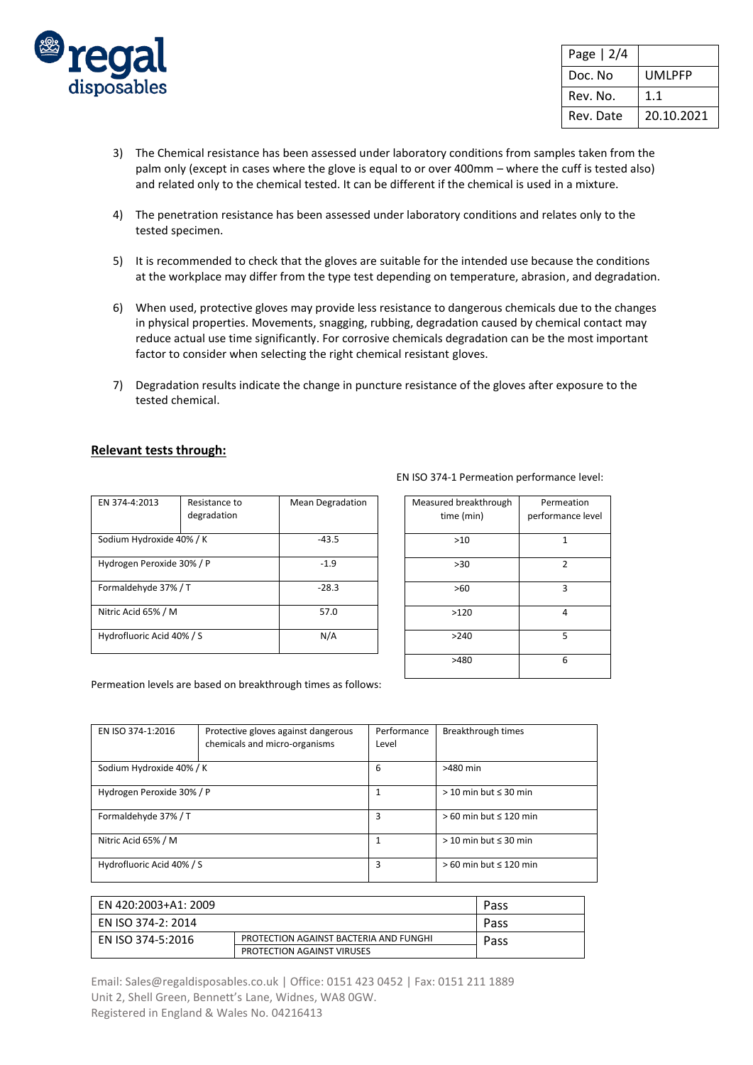

| Page $ 2/4$ |            |
|-------------|------------|
| Doc. No     | UMLPFP     |
| Rev. No.    | 1.1        |
| Rev. Date   | 20.10.2021 |

- 3) The Chemical resistance has been assessed under laboratory conditions from samples taken from the palm only (except in cases where the glove is equal to or over 400mm – where the cuff is tested also) and related only to the chemical tested. It can be different if the chemical is used in a mixture.
- 4) The penetration resistance has been assessed under laboratory conditions and relates only to the tested specimen.
- 5) It is recommended to check that the gloves are suitable for the intended use because the conditions at the workplace may differ from the type test depending on temperature, abrasion, and degradation.
- 6) When used, protective gloves may provide less resistance to dangerous chemicals due to the changes in physical properties. Movements, snagging, rubbing, degradation caused by chemical contact may reduce actual use time significantly. For corrosive chemicals degradation can be the most important factor to consider when selecting the right chemical resistant gloves.
- 7) Degradation results indicate the change in puncture resistance of the gloves after exposure to the tested chemical.

#### **Relevant tests through:**

| EN 374-4:2013             | Resistance to<br>degradation | <b>Mean Degradation</b> |
|---------------------------|------------------------------|-------------------------|
| Sodium Hydroxide 40% / K  | $-43.5$                      |                         |
| Hydrogen Peroxide 30% / P | $-1.9$                       |                         |
| Formaldehyde 37% / T      |                              | $-28.3$                 |
| Nitric Acid 65% / M       |                              | 57.0                    |
| Hydrofluoric Acid 40% / S |                              | N/A                     |

| Measured breakthrough<br>time (min) | Permeation<br>performance level |  |
|-------------------------------------|---------------------------------|--|
| $>10$                               | 1                               |  |
| >30                                 | $\overline{2}$                  |  |
| >60                                 | 3                               |  |
| >120                                | 4                               |  |
| >240                                | 5                               |  |
| >480                                | 6                               |  |

Permeation levels are based on breakthrough times as follows:

| EN ISO 374-1:2016         | Protective gloves against dangerous<br>chemicals and micro-organisms | Performance<br>Level | Breakthrough times           |
|---------------------------|----------------------------------------------------------------------|----------------------|------------------------------|
| Sodium Hydroxide 40% / K  |                                                                      | 6                    | >480 min                     |
| Hydrogen Peroxide 30% / P |                                                                      | 1                    | $>$ 10 min but $\leq$ 30 min |
| Formaldehyde 37% / T      |                                                                      | 3                    | $>60$ min but $\leq 120$ min |
| Nitric Acid 65% / M       |                                                                      | 1                    | $>$ 10 min but $\leq$ 30 min |
| Hydrofluoric Acid 40% / S |                                                                      | 3                    | $>60$ min but $\leq 120$ min |

| EN 420:2003+A1: 2009 |                                        | Pass |
|----------------------|----------------------------------------|------|
| EN ISO 374-2: 2014   |                                        | Pass |
| EN ISO 374-5:2016    | PROTECTION AGAINST BACTERIA AND FUNGHI | Pass |
|                      | <b>PROTECTION AGAINST VIRUSES</b>      |      |

Email: Sales@regaldisposables.co.uk | Office: 0151 423 0452 | Fax: 0151 211 1889 Unit 2, Shell Green, Bennett's Lane, Widnes, WA8 0GW. Registered in England & Wales No. 04216413

#### EN ISO 374-1 Permeation performance level: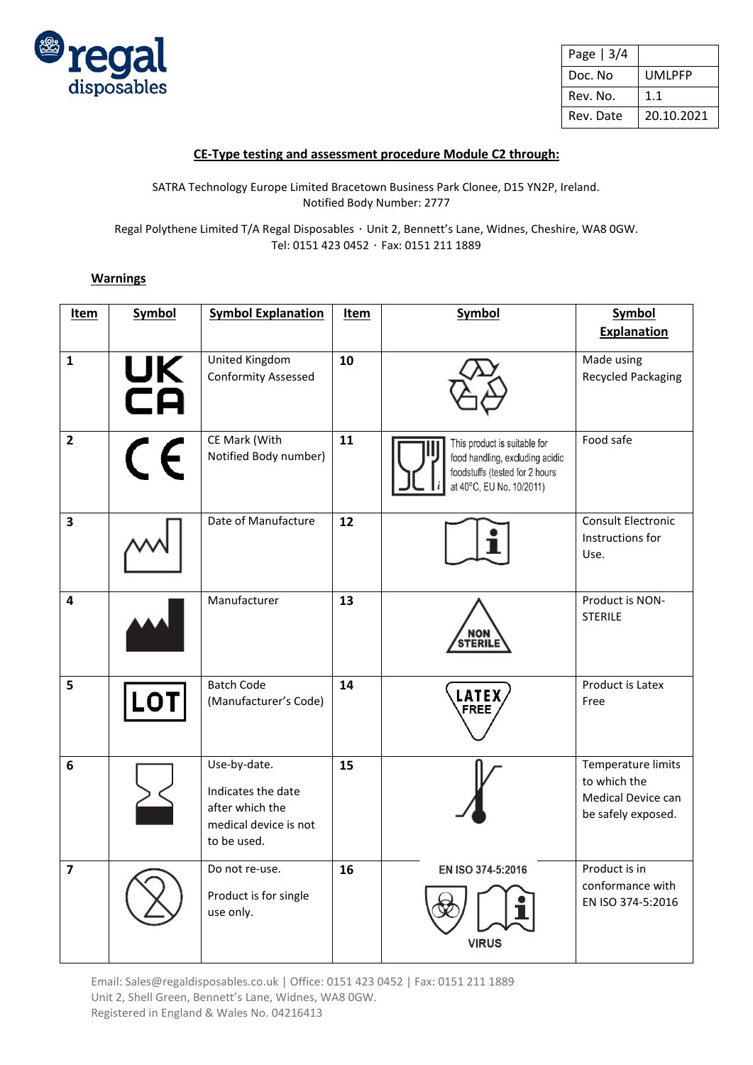

| Page $ 3/4$ |            |
|-------------|------------|
| Doc. No     | UMLPFP     |
| Rev. No.    | 1.1        |
| Rev. Date   | 20.10.2021 |

## **CE-Type testing and assessment procedure Module C2 through:**

SATRA Technology Europe Limited Bracetown Business Park Clonee, D15 YN2P, Ireland. Notified Body Number: 2777

Regal Polythene Limited T/A Regal Disposables ・ Unit 2, Bennett's Lane, Widnes, Cheshire, WA8 0GW. Tel: 0151 423 0452 ・ Fax: 0151 211 1889

## **Warnings**

| Item                    | <b>Symbol</b> | <b>Symbol Explanation</b>                                                                     | Item | Symbol                                                                                                                        | <b>Symbol</b><br><b>Explanation</b>                                            |
|-------------------------|---------------|-----------------------------------------------------------------------------------------------|------|-------------------------------------------------------------------------------------------------------------------------------|--------------------------------------------------------------------------------|
| $\mathbf{1}$            | UK<br>CA      | United Kingdom<br><b>Conformity Assessed</b>                                                  | 10   |                                                                                                                               | Made using<br><b>Recycled Packaging</b>                                        |
| $\overline{2}$          | $\epsilon$    | CE Mark (With<br>Notified Body number)                                                        | 11   | This product is suitable for<br>food handling, excluding acidic<br>foodstuffs (tested for 2 hours<br>at 40°C, EU No. 10/2011) | Food safe                                                                      |
| $\overline{\mathbf{3}}$ |               | Date of Manufacture                                                                           | 12   |                                                                                                                               | Consult Electronic<br>Instructions for<br>Use.                                 |
| 4                       |               | Manufacturer                                                                                  | 13   | <b>NON</b><br>STERILI                                                                                                         | Product is NON-<br><b>STERILE</b>                                              |
| 5                       | LO.           | <b>Batch Code</b><br>(Manufacturer's Code)                                                    | 14   | <b>LATEX</b><br><b>FREE</b>                                                                                                   | <b>Product is Latex</b><br>Free                                                |
| 6                       |               | Use-by-date.<br>Indicates the date<br>after which the<br>medical device is not<br>to be used. | 15   |                                                                                                                               | Temperature limits<br>to which the<br>Medical Device can<br>be safely exposed. |
| $\overline{7}$          |               | Do not re-use.<br>Product is for single<br>use only.                                          | 16   | EN ISO 374-5:2016<br><b>VIRUS</b>                                                                                             | Product is in<br>conformance with<br>EN ISO 374-5:2016                         |

Email: Sales@regaldisposables.co.uk | Office: 0151 423 0452 | Fax: 0151 211 1889 Unit 2, Shell Green, Bennett's Lane, Widnes, WA8 0GW. Registered in England & Wales No. 04216413